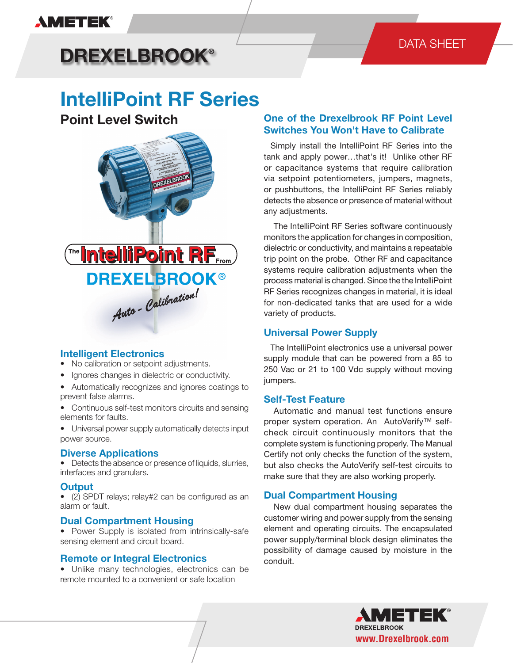# **AMETEK®**

## DATA SHEET

# **DREXELBROOK®**

# **IntelliPoint RF Series**

**Point Level Switch**



### **Intelligent Electronics**

- No calibration or setpoint adjustments.
- Ignores changes in dielectric or conductivity.
- Automatically recognizes and ignores coatings to prevent false alarms.
- Continuous self-test monitors circuits and sensing elements for faults.
- Universal power supply automatically detects input power source.

#### **Diverse Applications**

• Detects the absence or presence of liquids, slurries, interfaces and granulars.

#### **Output**

• (2) SPDT relays; relay#2 can be configured as an alarm or fault.

#### **Dual Compartment Housing**

• Power Supply is isolated from intrinsically-safe sensing element and circuit board.

#### **Remote or Integral Electronics**

• Unlike many technologies, electronics can be remote mounted to a convenient or safe location

### **One of the Drexelbrook RF Point Level Switches You Won't Have to Calibrate**

Simply install the IntelliPoint RF Series into the tank and apply power…that's it! Unlike other RF or capacitance systems that require calibration via setpoint potentiometers, jumpers, magnets, or pushbuttons, the IntelliPoint RF Series reliably detects the absence or presence of material without any adjustments.

 The IntelliPoint RF Series software continuously monitors the application for changes in composition, dielectric or conductivity, and maintains a repeatable trip point on the probe. Other RF and capacitance systems require calibration adjustments when the process material is changed. Since the the IntelliPoint RF Series recognizes changes in material, it is ideal for non-dedicated tanks that are used for a wide variety of products.

### **Universal Power Supply**

 The IntelliPoint electronics use a universal power supply module that can be powered from a 85 to 250 Vac or 21 to 100 Vdc supply without moving jumpers.

#### **Self-Test Feature**

 Automatic and manual test functions ensure proper system operation. An AutoVerify™ selfcheck circuit continuously monitors that the complete system is functioning properly. The Manual Certify not only checks the function of the system, but also checks the AutoVerify self-test circuits to make sure that they are also working properly.

#### **Dual Compartment Housing**

 New dual compartment housing separates the customer wiring and power supply from the sensing element and operating circuits. The encapsulated power supply/terminal block design eliminates the possibility of damage caused by moisture in the conduit.

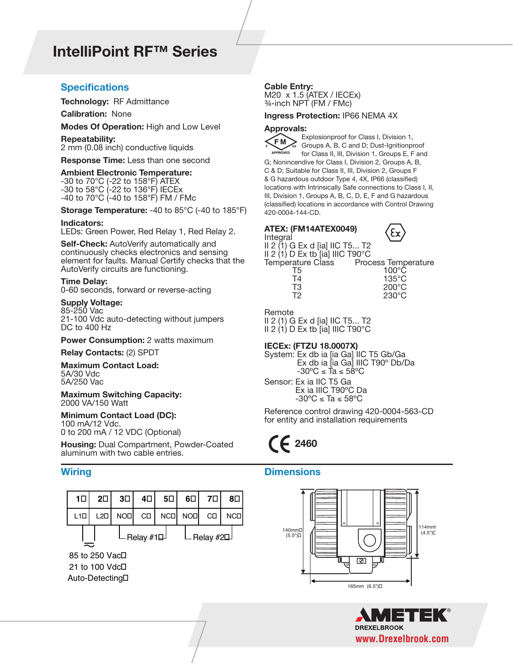# **IntelliPoint RF™ Series**

#### **Specifications Cable Entry:**

**Technology:** RF Admittance

**Calibration:** None

**Modes Of Operation:** High and Low Level

**Repeatability:**

2 mm (0.08 inch) conductive liquids

**Response Time:** Less than one second

#### **Ambient Electronic Temperature:**

-30 to 70°C (-22 to 158°F) ATEX -30 to 58°C (-22 to 136°F) IECEx -40 to 70°C (-40 to 158°F) FM / FMc

**Storage Temperature:** -40 to 85°C (-40 to 185°F)

#### **Indicators:**

LEDs: Green Power, Red Relay 1, Red Relay 2.

**Self-Check:** AutoVerify automatically and continuously checks electronics and sensing element for faults. Manual Certify checks that the AutoVerify circuits are functioning.

#### **Time Delay:**

0-60 seconds, forward or reverse-acting

#### **Supply Voltage:**

85-250 Vac 21-100 Vdc auto-detecting without jumpers DC to 400 Hz

#### **Power Consumption: 2 watts maximum**

**Relay Contacts:** (2) SPDT

#### **Maximum Contact Load:**

5A/30 Vdc 5A/250 Vac

**Maximum Switching Capacity:** 2000 VA/150 Watt

#### **Minimum Contact Load (DC):**

100 mA/12 Vdc. 0 to 200 mA / 12 VDC (Optional)

**Housing:** Dual Compartment, Powder-Coated aluminum with two cable entries.



M20 x 1.5 (ATEX / IECEx) ¾-inch NPT (FM / FMc)

#### **Ingress Protection:** IP66 NEMA 4X

#### **Approvals:**



Explosionproof for Class I, Division 1, Groups A, B, C and D; Dust-Ignitionproof for Class II, III, Division 1, Groups E, F and G; Nonincendive for Class I, Division 2, Groups A, B, C & D; Suitable for Class II, III, Division 2, Groups F

& G hazardous outdoor Type 4, 4X, IP66 (classified) locations with Intrinsically Safe connections to Class I, II, III, Division 1, Groups A, B, C, D, E, F and G hazardous (classified) locations in accordance with Control Drawing 420-0004-144-CD.

|          | ATEX: (FM14ATEX0049) |
|----------|----------------------|
| Integral |                      |



II 2 (1) G Ex d [ia] IIC T5... T2 II 2  $(1)$  D Ex tb  $[ia]$  IIIC T90 $^{\circ}$ C Temperature Class Process Temperature T5 100°C T4 135°C  $200^{\circ}$ C

T2 230°C

Remote II 2 (1) G Ex d [ia] IIC T5... T2 II 2  $(1)$  D Ex tb  $[ia]$  IIIC T90 $^{\circ}$ C

#### **IECEx: (FTZU 18.0007X)**

System: Ex db ia [ia Ga] IIC T5 Gb/Ga Ex db ia [ia Ga] IIIC T90º Db/Da  $-30^{\circ}$ C ≤ Ta ≤ 58°C Sensor: Ex ia IIC T5 Ga Ex ia IIIC T90ºC Da  $-30^{\circ}$ C ≤ Ta ≤ 58°C

Reference control drawing 420-0004-563-CD for entity and installation requirements

# **2460**

#### **Wiring Dimensions**



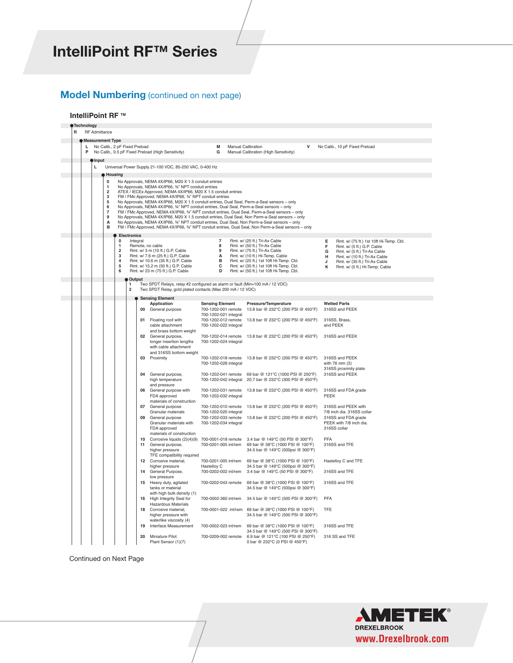# **IntelliPoint RF™ Series**

## **Model Numbering** (continued on next page) **Model**

#### **IntelliPoint RF TM IntelliPoint RF TM**

|   | Technology |                      |                               |                     |                                |    |                                                                                                                       |                                               |                                                                                                     |                                                                                 |
|---|------------|----------------------|-------------------------------|---------------------|--------------------------------|----|-----------------------------------------------------------------------------------------------------------------------|-----------------------------------------------|-----------------------------------------------------------------------------------------------------|---------------------------------------------------------------------------------|
| R |            | <b>RF</b> Admittance |                               |                     |                                |    |                                                                                                                       |                                               |                                                                                                     |                                                                                 |
|   |            |                      | Measurement Type              |                     |                                |    |                                                                                                                       |                                               |                                                                                                     |                                                                                 |
|   | L.<br>P    |                      | No Calib., 2 pF Fixed Preload |                     |                                |    | No Calib., 0.5 pF Fixed Preload (High Sensitivity)                                                                    | М<br>G                                        | Manual Calibration<br>Manual Calibration (High Sensitivity)                                         | No Calib., 10 pF Fixed Preload                                                  |
|   |            |                      |                               |                     |                                |    |                                                                                                                       |                                               |                                                                                                     |                                                                                 |
|   |            | Input                |                               |                     |                                |    |                                                                                                                       |                                               |                                                                                                     |                                                                                 |
|   |            | L                    |                               |                     |                                |    | Universal Power Supply 21-100 VDC, 85-250 VAC, 0-400 Hz                                                               |                                               |                                                                                                     |                                                                                 |
|   |            |                      | <b>B</b> Housing              |                     |                                |    |                                                                                                                       |                                               |                                                                                                     |                                                                                 |
|   |            |                      | $\bf{0}$                      |                     |                                |    | No Approvals, NEMA 4X/IP66, M20 X 1.5 conduit entries                                                                 |                                               |                                                                                                     |                                                                                 |
|   |            |                      | 1<br>$\overline{\mathbf{2}}$  |                     |                                |    | No Approvals, NEMA 4X/IP66, 34" NPT conduit entries<br>ATEX / IECEx Approved, NEMA 4X/IP66, M20 X 1.5 conduit entries |                                               |                                                                                                     |                                                                                 |
|   |            |                      | 3                             |                     |                                |    | FM / FMc Approved, NEMA 4X/IP66, 34" NPT conduit entries                                                              |                                               |                                                                                                     |                                                                                 |
|   |            |                      | 5                             |                     |                                |    |                                                                                                                       |                                               | No Approvals, NEMA 4X/IP66, M20 X 1.5 conduit entries, Dual Seal, Perm-a-Seal sensors - only        |                                                                                 |
|   |            |                      | 6<br>7                        |                     |                                |    | No Approvals, NEMA 4X/IP66, 34" NPT conduit entries, Dual Seal, Perm-a-Seal sensors - only                            |                                               | FM / FMc Approved, NEMA 4X/IP66, 34" NPT conduit entries, Dual Seal, Perm-a-Seal sensors - only     |                                                                                 |
|   |            |                      | 9                             |                     |                                |    |                                                                                                                       |                                               | No Approvals, NEMA 4X/IP66, M20 X 1.5 conduit entries, Dual Seal, Non Perm-a-Seal sensors - only    |                                                                                 |
|   |            |                      | А<br>B                        |                     |                                |    |                                                                                                                       |                                               | No Approvals, NEMA 4X/IP66, 34" NPT conduit entries, Dual Seal, Non Perm-a-Seal sensors - only      |                                                                                 |
|   |            |                      |                               |                     |                                |    |                                                                                                                       |                                               | FM / FMc Approved, NEMA 4X/IP66, 34" NPT conduit entries, Dual Seal, Non Perm-a-Seal sensors - only |                                                                                 |
|   |            |                      |                               |                     | <b>Electronics</b><br>Integral |    |                                                                                                                       | $\overline{7}$                                | Rmt. w/ (25 ft.) Tri-Ax Cable                                                                       |                                                                                 |
|   |            |                      |                               | 0<br>$\mathbf{1}$   |                                |    | Remote, no cable                                                                                                      | 8                                             | Rmt. w/ (50 ft.) Tri-Ax Cable                                                                       | Rmt. w/ (75 ft.) 1st 10ft Hi-Temp. Cbl.<br>Е<br>Rmt. w/ (5 ft.) G.P. Cable<br>F |
|   |            |                      |                               | $\overline{2}$      |                                |    | Rmt. w/ 3 m (10 ft.) G.P. Cable                                                                                       | 9                                             | Rmt. w/ (75 ft.) Tri-Ax Cable                                                                       | G<br>Rmt. w/ (5 ft.) Tri-Ax Cable                                               |
|   |            |                      |                               | 3<br>$\overline{4}$ |                                |    | Rmt. w/ 7.6 m (25 ft.) G.P. Cable<br>Rmt. w/ 10.6 m (35 ft.) G.P. Cable                                               | А<br>B                                        | Rmt. w/ (10 ft.) Hi-Temp. Cable<br>Rmt. w/ (25 ft.) 1st 10ft Hi-Temp. Cbl.                          | Rmt. w/ (10 ft.) Tri-Ax Cable<br>н<br>J                                         |
|   |            |                      |                               | 5                   |                                |    | Rmt. w/ 15.2 m (50 ft.) G.P. Cable                                                                                    | с                                             | Rmt. w/ (35 ft.) 1st 10ft Hi-Temp. Cbl.                                                             | Rmt. w/ (35 ft.) Tri-Ax Cable<br>к<br>Rmt. w/ (5 ft.) Hi-Temp. Cable            |
|   |            |                      |                               | 6                   |                                |    | Rmt. w/ 23 m (75 ft.) G.P. Cable                                                                                      | D                                             | Rmt. w/ (50 ft.) 1st 10ft Hi-Temp. Cbl.                                                             |                                                                                 |
|   |            |                      |                               |                     | Output                         |    |                                                                                                                       |                                               |                                                                                                     |                                                                                 |
|   |            |                      |                               |                     | 1<br>$\overline{2}$            |    | Two SPDT Relays, relay #2 configured as alarm or fault (Min=100 mA / 12 VDC)                                          |                                               |                                                                                                     |                                                                                 |
|   |            |                      |                               |                     |                                |    | Two SPDT Relay, gold plated contacts (Max 200 mA / 12 VDC)                                                            |                                               |                                                                                                     |                                                                                 |
|   |            |                      |                               |                     |                                |    | <b>Sensing Element</b>                                                                                                |                                               |                                                                                                     |                                                                                 |
|   |            |                      |                               |                     |                                | 00 | Application<br>General purpose                                                                                        | <b>Sensing Element</b><br>700-1202-001 remote | Pressure/Temperature<br>13.8 bar @ 232°C (200 PSI @ 450°F)                                          | <b>Wetted Parts</b><br>316SS and PEEK                                           |
|   |            |                      |                               |                     |                                |    |                                                                                                                       | 700-1202-021 integral                         |                                                                                                     |                                                                                 |
|   |            |                      |                               |                     |                                | 01 | Floating roof with                                                                                                    | 700-1202-012 remote                           | 13.8 bar @ 232°C (200 PSI @ 450°F)                                                                  | 316SS, Brass,                                                                   |
|   |            |                      |                               |                     |                                |    | cable attachment                                                                                                      | 700-1202-022 integral                         |                                                                                                     | and PEEK                                                                        |
|   |            |                      |                               |                     |                                |    | and brass bottom weight<br>02 General purpose,                                                                        | 700-1202-014 remote                           | 13.8 bar @ 232°C (200 PSI @ 450°F)                                                                  | 316SS and PEEK                                                                  |
|   |            |                      |                               |                     |                                |    | longer insertion lengths                                                                                              | 700-1202-024 integral                         |                                                                                                     |                                                                                 |
|   |            |                      |                               |                     |                                |    | with cable attachment                                                                                                 |                                               |                                                                                                     |                                                                                 |
|   |            |                      |                               |                     |                                |    | and 316SS bottom weight<br>03 Proximity                                                                               | 700-1202-018 remote                           | 13.8 bar @ 232°C (200 PSI @ 450°F)                                                                  | 316SS and PEEK                                                                  |
|   |            |                      |                               |                     |                                |    |                                                                                                                       | 700-1202-028 integral                         |                                                                                                     | with 76 mm (3)                                                                  |
|   |            |                      |                               |                     |                                |    |                                                                                                                       |                                               |                                                                                                     | 316SS proximity plate                                                           |
|   |            |                      |                               |                     |                                | 04 | General purpose,                                                                                                      | 700-1202-041 remote                           | 69 bar @ 121°C (1000 PSI @ 250°F)                                                                   | 316SS and PEEK                                                                  |
|   |            |                      |                               |                     |                                |    | high temperature<br>and pressure                                                                                      | 700-1202-042 integral                         | 20.7 bar @ 232°C (300 PSI @ 450°F)                                                                  |                                                                                 |
|   |            |                      |                               |                     |                                | 06 | General purpose with                                                                                                  | 700-1202-031 remote                           | 13.8 bar @ 232°C (200 PSI @ 450°F)                                                                  | 316SS and FDA grade                                                             |
|   |            |                      |                               |                     |                                |    | FDA approved                                                                                                          | 700-1202-032 integral                         |                                                                                                     | PEEK                                                                            |
|   |            |                      |                               |                     |                                |    | materials of construction                                                                                             |                                               |                                                                                                     |                                                                                 |
|   |            |                      |                               |                     |                                | 07 | General purpose<br>Granular materials                                                                                 | 700-1202-010 remote<br>700-1202-020 integral  | 13.8 bar @ 232°C (200 PSI @ 450°F)                                                                  | 316SS and PEEK with<br>7/8 inch dia, 316SS collar                               |
|   |            |                      |                               |                     |                                | 09 | General purpose                                                                                                       | 700-1202-033 remote                           | 13.8 bar @ 232°C (200 PSI @ 450°F)                                                                  | 316SS and FDA grade                                                             |
|   |            |                      |                               |                     |                                |    | Granular materials with                                                                                               | 700-1202-034 integral                         |                                                                                                     | PEEK with 7/8 inch dia.                                                         |
|   |            |                      |                               |                     |                                |    | FDA approved<br>materials of construction                                                                             |                                               |                                                                                                     | 316SS collar                                                                    |
|   |            |                      |                               |                     |                                |    | 10 Corrosive liquids (2)(4)(9)                                                                                        |                                               | 700-0001-018 remote 3.4 bar @ 149°C (50 PSI @ 300°F)                                                | PFA                                                                             |
|   |            |                      |                               |                     |                                | 11 | General purpose,                                                                                                      | 700-0201-005 int/rem                          | 69 bar @ 38°C (1000 PSI @ 100°F)                                                                    | 316SS and TFE                                                                   |
|   |            |                      |                               |                     |                                |    | higher pressure                                                                                                       |                                               | 34.5 bar @ 149°C (500psi @ 300°F)                                                                   |                                                                                 |
|   |            |                      |                               |                     |                                | 12 | TFE compatibility required<br>Corrosive material,                                                                     | 700-0201-005 int/rem                          | 69 bar @ 38°C (1000 PSI @ 100°F)                                                                    | Hastelloy C and TFE                                                             |
|   |            |                      |                               |                     |                                |    | higher pressure                                                                                                       | Hastelloy C                                   | 34.5 bar @ 149°C (500psi @ 300°F)                                                                   |                                                                                 |
|   |            |                      |                               |                     |                                | 14 | General Purpose,                                                                                                      | 700-0202-002 int/rem                          | 3.4 bar @ 149°C (50 PSI @ 300°F)                                                                    | 316SS and TFE                                                                   |
|   |            |                      |                               |                     |                                |    | low pressure                                                                                                          |                                               |                                                                                                     |                                                                                 |
|   |            |                      |                               |                     |                                | 15 | Heavy duty, agitated<br>tanks or material                                                                             | 700-0202-043 remote                           | 69 bar @ 38°C (1000 PSI @ 100°F)<br>34.5 bar @ 149°C (500psi @ 300°F)                               | 316SS and TFE                                                                   |
|   |            |                      |                               |                     |                                |    | with high bulk density (1)                                                                                            |                                               |                                                                                                     |                                                                                 |
|   |            |                      |                               |                     |                                | 16 | High Integrity Seal for                                                                                               | 700-0002-360 int/rem                          | 34.5 bar @ 149°C (500 PSI @ 300°F)                                                                  | PFA                                                                             |
|   |            |                      |                               |                     |                                |    | <b>Hazardous Materials</b>                                                                                            |                                               |                                                                                                     |                                                                                 |
|   |            |                      |                               |                     |                                | 18 | Corrosive material,<br>higher pressure with                                                                           |                                               | 700-0001-022 int/rem 69 bar @ 38°C (1000 PSI @ 100°F)<br>34.5 bar @ 149°C (500 PSI @ 300°F)         | <b>TFE</b>                                                                      |
|   |            |                      |                               |                     |                                |    | waterlike viscosity (4)                                                                                               |                                               |                                                                                                     |                                                                                 |
|   |            |                      |                               |                     |                                | 19 | Interface Measurement                                                                                                 | 700-0002-023 int/rem                          | 69 bar @ 38°C (1000 PSI @ 100°F)                                                                    | 316SS and TFE                                                                   |
|   |            |                      |                               |                     |                                |    |                                                                                                                       |                                               | 34.5 bar @ 149°C (500 PSI @ 300°F)                                                                  |                                                                                 |
|   |            |                      |                               |                     |                                | 20 | Miniature Pilot                                                                                                       | 700-0209-002 remote                           | 6.9 bar @ 121°C (100 PSI @ 250°F)                                                                   | 316 SS and TFE                                                                  |
|   |            |                      |                               |                     |                                |    | Plant Sensor (1)(7)                                                                                                   |                                               | 0 bar @ 232°C (0 PSI @ 450°F)                                                                       |                                                                                 |

 $\overline{1}$ 

with curved radius 153, 229, 305  $\mu$ 

**52** Flush Mount Sensor 700-0207-003 remote 0.1 bar @ 82°C (1 PSI @ 180°F) 304 SS and Neoprene

**31** No hopper Installation 700-0029-001 remote 0.1 bar @ 260°C (2 PSI @ 500°F) 316SS and TFE Continued on Next Page